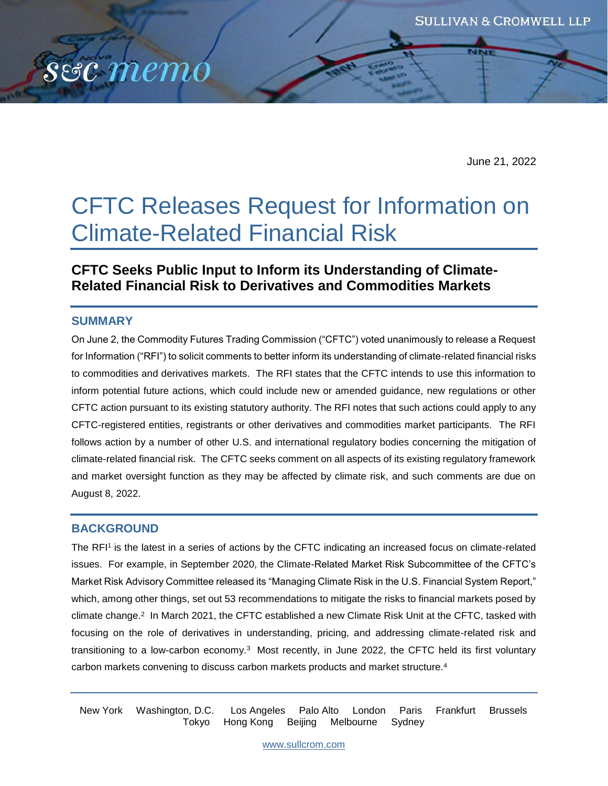

June 21, 2022

# CFTC Releases Request for Information on Climate-Related Financial Risk

# **CFTC Seeks Public Input to Inform its Understanding of Climate-Related Financial Risk to Derivatives and Commodities Markets**

## **SUMMARY**

On June 2, the Commodity Futures Trading Commission ("CFTC") voted unanimously to release a Request for Information ("RFI") to solicit comments to better inform its understanding of climate-related financial risks to commodities and derivatives markets. The RFI states that the CFTC intends to use this information to inform potential future actions, which could include new or amended guidance, new regulations or other CFTC action pursuant to its existing statutory authority. The RFI notes that such actions could apply to any CFTC-registered entities, registrants or other derivatives and commodities market participants. The RFI follows action by a number of other U.S. and international regulatory bodies concerning the mitigation of climate-related financial risk. The CFTC seeks comment on all aspects of its existing regulatory framework and market oversight function as they may be affected by climate risk, and such comments are due on August 8, 2022.

## **BACKGROUND**

The RFI<sup>1</sup> is the latest in a series of actions by the CFTC indicating an increased focus on climate-related issues. For example, in September 2020, the Climate-Related Market Risk Subcommittee of the CFTC's Market Risk Advisory Committee released its "Managing Climate Risk in the U.S. Financial System Report," which, among other things, set out 53 recommendations to mitigate the risks to financial markets posed by climate change.<sup>2</sup> In March 2021, the CFTC established a new Climate Risk Unit at the CFTC, tasked with focusing on the role of derivatives in understanding, pricing, and addressing climate-related risk and transitioning to a low-carbon economy.<sup>3</sup> Most recently, in June 2022, the CFTC held its first voluntary carbon markets convening to discuss carbon markets products and market structure.<sup>4</sup>

New York Washington, D.C. Los Angeles Palo Alto London Paris Frankfurt Brussels Tokyo Hong Kong Beijing Melbourne Sydney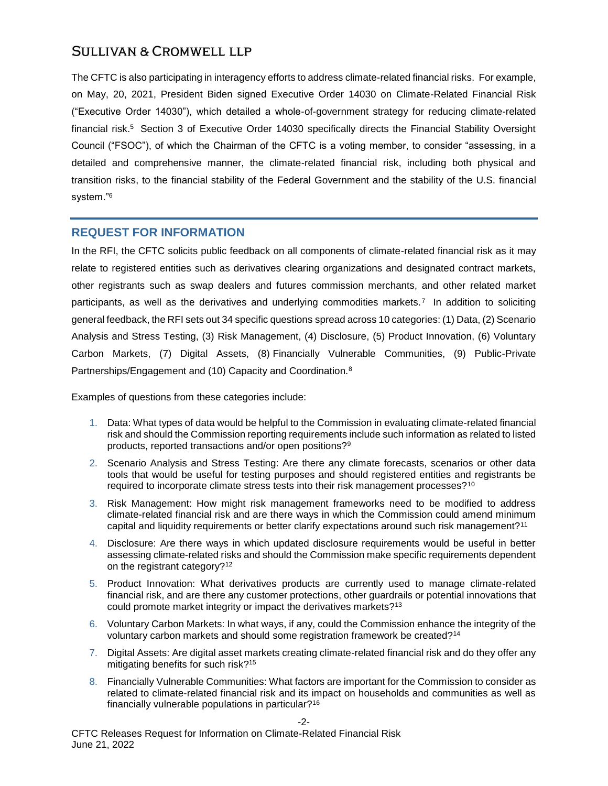The CFTC is also participating in interagency efforts to address climate-related financial risks. For example, on May, 20, 2021, President Biden signed Executive Order 14030 on Climate-Related Financial Risk ("Executive Order 14030"), which detailed a whole-of-government strategy for reducing climate-related financial risk.<sup>5</sup> Section 3 of Executive Order 14030 specifically directs the Financial Stability Oversight Council ("FSOC"), of which the Chairman of the CFTC is a voting member, to consider "assessing, in a detailed and comprehensive manner, the climate-related financial risk, including both physical and transition risks, to the financial stability of the Federal Government and the stability of the U.S. financial system."<sup>6</sup>

## **REQUEST FOR INFORMATION**

In the RFI, the CFTC solicits public feedback on all components of climate-related financial risk as it may relate to registered entities such as derivatives clearing organizations and designated contract markets, other registrants such as swap dealers and futures commission merchants, and other related market participants, as well as the derivatives and underlying commodities markets.<sup>7</sup> In addition to soliciting general feedback, the RFI sets out 34 specific questions spread across 10 categories: (1) Data, (2) Scenario Analysis and Stress Testing, (3) Risk Management, (4) Disclosure, (5) Product Innovation, (6) Voluntary Carbon Markets, (7) Digital Assets, (8) Financially Vulnerable Communities, (9) Public-Private Partnerships/Engagement and (10) Capacity and Coordination.<sup>8</sup>

Examples of questions from these categories include:

- 1. Data: What types of data would be helpful to the Commission in evaluating climate-related financial risk and should the Commission reporting requirements include such information as related to listed products, reported transactions and/or open positions?<sup>9</sup>
- 2. Scenario Analysis and Stress Testing: Are there any climate forecasts, scenarios or other data tools that would be useful for testing purposes and should registered entities and registrants be required to incorporate climate stress tests into their risk management processes?<sup>10</sup>
- 3. Risk Management: How might risk management frameworks need to be modified to address climate-related financial risk and are there ways in which the Commission could amend minimum capital and liquidity requirements or better clarify expectations around such risk management?<sup>11</sup>
- 4. Disclosure: Are there ways in which updated disclosure requirements would be useful in better assessing climate-related risks and should the Commission make specific requirements dependent on the registrant category?<sup>12</sup>
- 5. Product Innovation: What derivatives products are currently used to manage climate-related financial risk, and are there any customer protections, other guardrails or potential innovations that could promote market integrity or impact the derivatives markets?<sup>13</sup>
- 6. Voluntary Carbon Markets: In what ways, if any, could the Commission enhance the integrity of the voluntary carbon markets and should some registration framework be created?<sup>14</sup>
- 7. Digital Assets: Are digital asset markets creating climate-related financial risk and do they offer any mitigating benefits for such risk?<sup>15</sup>
- 8. Financially Vulnerable Communities: What factors are important for the Commission to consider as related to climate-related financial risk and its impact on households and communities as well as financially vulnerable populations in particular?16

-2-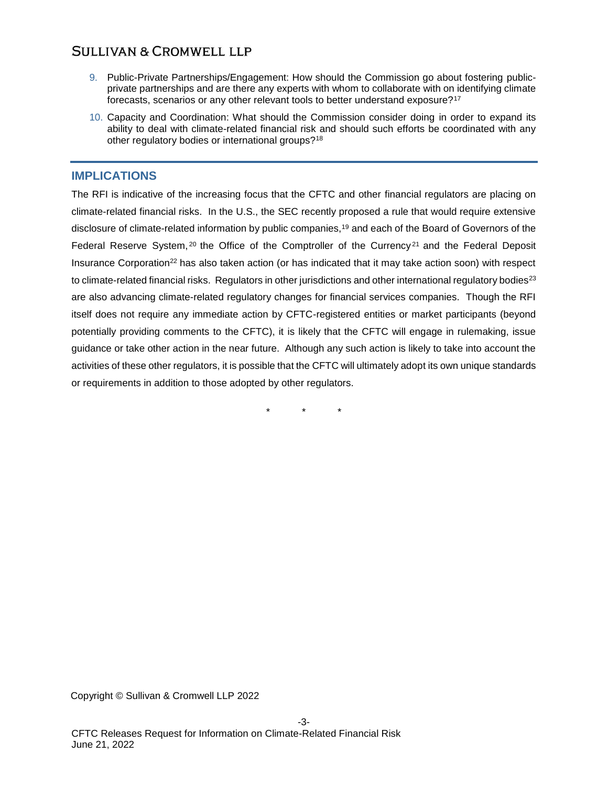- 9. Public-Private Partnerships/Engagement: How should the Commission go about fostering publicprivate partnerships and are there any experts with whom to collaborate with on identifying climate forecasts, scenarios or any other relevant tools to better understand exposure?<sup>17</sup>
- 10. Capacity and Coordination: What should the Commission consider doing in order to expand its ability to deal with climate-related financial risk and should such efforts be coordinated with any other regulatory bodies or international groups?<sup>18</sup>

## **IMPLICATIONS**

The RFI is indicative of the increasing focus that the CFTC and other financial regulators are placing on climate-related financial risks. In the U.S., the SEC recently proposed a rule that would require extensive disclosure of climate-related information by public companies,<sup>19</sup> and each of the Board of Governors of the Federal Reserve System, <sup>20</sup> the Office of the Comptroller of the Currency<sup>21</sup> and the Federal Deposit Insurance Corporation<sup>22</sup> has also taken action (or has indicated that it may take action soon) with respect to climate-related financial risks. Regulators in other jurisdictions and other international regulatory bodies<sup>23</sup> are also advancing climate-related regulatory changes for financial services companies. Though the RFI itself does not require any immediate action by CFTC-registered entities or market participants (beyond potentially providing comments to the CFTC), it is likely that the CFTC will engage in rulemaking, issue guidance or take other action in the near future. Although any such action is likely to take into account the activities of these other regulators, it is possible that the CFTC will ultimately adopt its own unique standards or requirements in addition to those adopted by other regulators.

\* \* \*

Copyright © Sullivan & Cromwell LLP 2022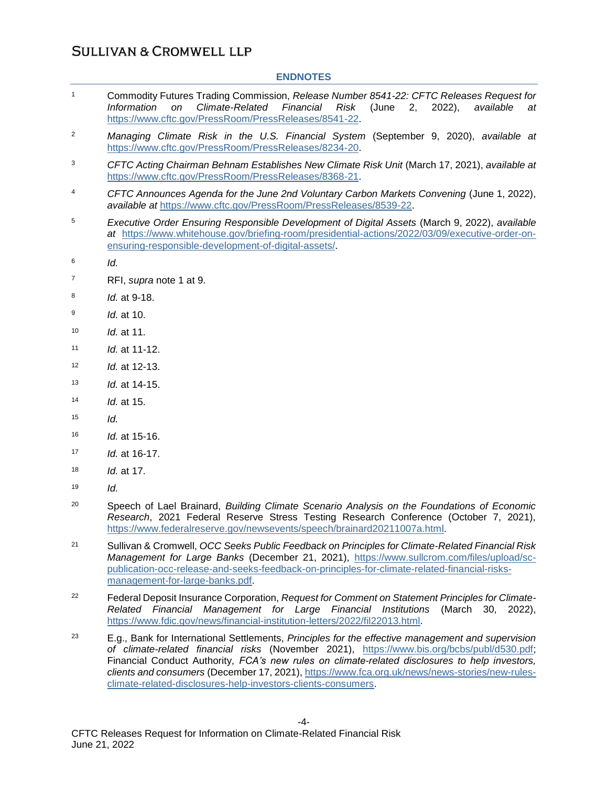#### **ENDNOTES**

- <sup>1</sup> Commodity Futures Trading Commission, *Release Number 8541-22: CFTC Releases Request for Information on Climate-Related Financial Risk* (June 2, 2022), *available at*  [https://www.cftc.gov/PressRoom/PressReleases/8541-22.](https://www.cftc.gov/PressRoom/PressReleases/8541-22)
- <sup>2</sup> *Managing Climate Risk in the U.S. Financial System* (September 9, 2020), *available at*  [https://www.cftc.gov/PressRoom/PressReleases/8234-20.](https://www.cftc.gov/PressRoom/PressReleases/8234-20)
- <sup>3</sup> *CFTC Acting Chairman Behnam Establishes New Climate Risk Unit* (March 17, 2021), *available at*  [https://www.cftc.gov/PressRoom/PressReleases/8368-21.](https://www.cftc.gov/PressRoom/PressReleases/8368-21)
- <sup>4</sup> CFTC Announces Agenda for the June 2nd Voluntary Carbon Markets Convening (June 1, 2022), *available at* [https://www.cftc.gov/PressRoom/PressReleases/8539-22.](https://www.cftc.gov/PressRoom/PressReleases/8539-22)
- <sup>5</sup> *Executive Order Ensuring Responsible Development of Digital Assets* (March 9, 2022), *available at* [https://www.whitehouse.gov/briefing-room/presidential-actions/2022/03/09/executive-order-on](https://www.whitehouse.gov/briefing-room/presidential-actions/2022/03/09/executive-order-on-ensuring-responsible-development-of-digital-assets/)[ensuring-responsible-development-of-digital-assets/.](https://www.whitehouse.gov/briefing-room/presidential-actions/2022/03/09/executive-order-on-ensuring-responsible-development-of-digital-assets/)
- 6 *Id.*
- <sup>7</sup> RFI, *supra* note 1 at 9.
- 8 *Id.* at 9-18.
- 9 *Id.* at 10.
- <sup>10</sup> *Id.* at 11.
- <sup>11</sup> *Id.* at 11-12.
- <sup>12</sup> *Id.* at 12-13.
- <sup>13</sup> *Id.* at 14-15.
- <sup>14</sup> *Id.* at 15.
- $15$  *Id.*
- <sup>16</sup> *Id.* at 15-16.
- <sup>17</sup> *Id.* at 16-17.
- <sup>18</sup> *Id.* at 17.
- $19$  *Id.*
- <sup>20</sup> Speech of Lael Brainard, *Building Climate Scenario Analysis on the Foundations of Economic Research*, 2021 Federal Reserve Stress Testing Research Conference (October 7, 2021), [https://www.federalreserve.gov/newsevents/speech/brainard20211007a.html](https://www.federalreserve.gov/newsevents/speech/brainard20211007a.htm).
- <sup>21</sup> Sullivan & Cromwell, *OCC Seeks Public Feedback on Principles for Climate-Related Financial Risk Management for Large Banks* (December 21, 2021), [https://www.sullcrom.com/files/upload/sc](https://www.sullcrom.com/files/upload/sc-publication-occ-release-and-seeks-feedback-on-principles-for-climate-related-financial-risks-management-for-large-banks.pdf)[publication-occ-release-and-seeks-feedback-on-principles-for-climate-related-financial-risks](https://www.sullcrom.com/files/upload/sc-publication-occ-release-and-seeks-feedback-on-principles-for-climate-related-financial-risks-management-for-large-banks.pdf)[management-for-large-banks.pdf.](https://www.sullcrom.com/files/upload/sc-publication-occ-release-and-seeks-feedback-on-principles-for-climate-related-financial-risks-management-for-large-banks.pdf)
- <sup>22</sup> Federal Deposit Insurance Corporation, *Request for Comment on Statement Principles for Climate-Related Financial Management for Large Financial Institutions* (March 30, 2022), [https://www.fdic.gov/news/financial-institution-letters/2022/fil22013.html.](https://www.fdic.gov/news/financial-institution-letters/2022/fil22013.html)
- <sup>23</sup> E.g., Bank for International Settlements, *Principles for the effective management and supervision of climate-related financial risks* (November 2021), [https://www.bis.org/bcbs/publ/d530.pdf;](https://www.bis.org/bcbs/publ/d530.pdf) Financial Conduct Authority, *FCA's new rules on climate-related disclosures to help investors, clients and consumers* (December 17, 2021), [https://www.fca.org.uk/news/news-stories/new-rules](https://www.fca.org.uk/news/news-stories/new-rules-climate-related-disclosures-help-investors-clients-consumers)[climate-related-disclosures-help-investors-clients-consumers.](https://www.fca.org.uk/news/news-stories/new-rules-climate-related-disclosures-help-investors-clients-consumers)

-4-